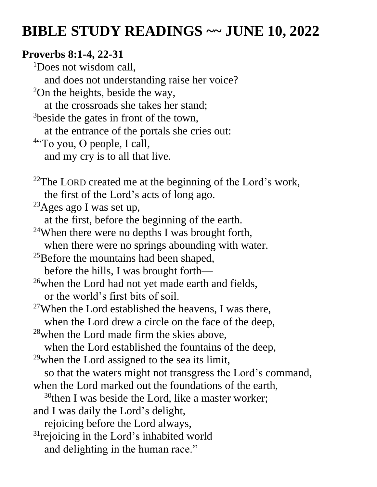# **BIBLE STUDY READINGS ~~ JUNE 10, 2022**

#### **Proverbs 8:1-4, 22-31**

<sup>1</sup>Does not wisdom call. and does not understanding raise her voice? <sup>2</sup>On the heights, beside the way, at the crossroads she takes her stand; <sup>3</sup>beside the gates in front of the town, at the entrance of the portals she cries out: <sup>4"</sup>To you, O people, I call, and my cry is to all that live.

 $22$ The LORD created me at the beginning of the Lord's work, the first of the Lord's acts of long ago.

 $23$ Ages ago I was set up,

- at the first, before the beginning of the earth.
- <sup>24</sup>When there were no depths I was brought forth,
- when there were no springs abounding with water.

<sup>25</sup>Before the mountains had been shaped,

before the hills, I was brought forth—

- $26$  when the Lord had not yet made earth and fields, or the world's first bits of soil.
- $27$ When the Lord established the heavens, I was there, when the Lord drew a circle on the face of the deep,
- <sup>28</sup>when the Lord made firm the skies above,
- when the Lord established the fountains of the deep,
- $29$  when the Lord assigned to the sea its limit,
- so that the waters might not transgress the Lord's command,
- when the Lord marked out the foundations of the earth,
	- $30$ then I was beside the Lord, like a master worker;
- and I was daily the Lord's delight,
	- rejoicing before the Lord always,
- $31$ rejoicing in the Lord's inhabited world and delighting in the human race."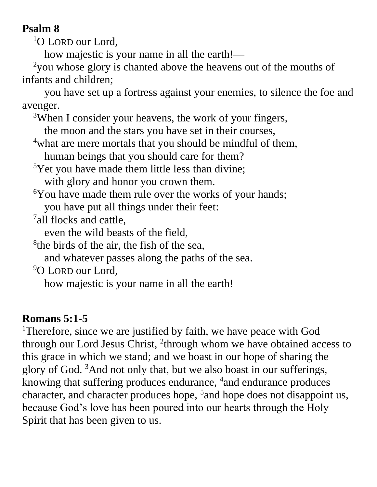## **Psalm 8**

<sup>1</sup>O LORD our Lord,

how majestic is your name in all the earth!—

<sup>2</sup>you whose glory is chanted above the heavens out of the mouths of infants and children;

you have set up a fortress against your enemies, to silence the foe and avenger.

<sup>3</sup>When I consider your heavens, the work of your fingers,

the moon and the stars you have set in their courses,

<sup>4</sup>what are mere mortals that you should be mindful of them,

human beings that you should care for them?

<sup>5</sup>Yet you have made them little less than divine;

with glory and honor you crown them.

<sup>6</sup>You have made them rule over the works of your hands;

you have put all things under their feet:

<sup>7</sup>all flocks and cattle,

even the wild beasts of the field,

<sup>8</sup>the birds of the air, the fish of the sea,

and whatever passes along the paths of the sea.

<sup>9</sup>O LORD our Lord.

how majestic is your name in all the earth!

#### **Romans 5:1-5**

<sup>1</sup>Therefore, since we are justified by faith, we have peace with God through our Lord Jesus Christ, <sup>2</sup>through whom we have obtained access to this grace in which we stand; and we boast in our hope of sharing the glory of God. <sup>3</sup>And not only that, but we also boast in our sufferings, knowing that suffering produces endurance, <sup>4</sup>and endurance produces character, and character produces hope, <sup>5</sup> and hope does not disappoint us, because God's love has been poured into our hearts through the Holy Spirit that has been given to us.